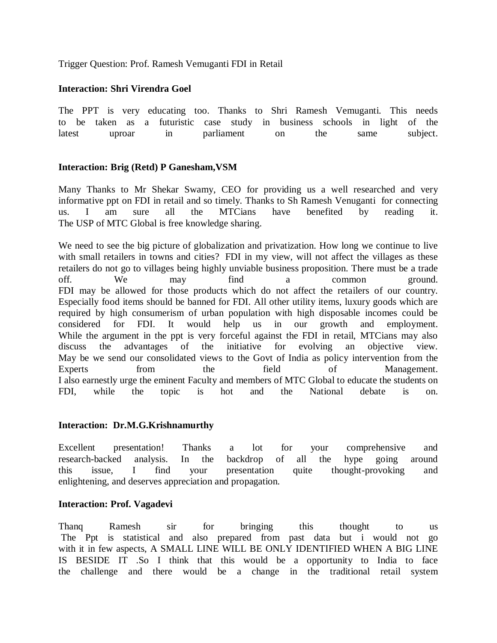Trigger Question: Prof. Ramesh Vemuganti FDI in Retail

# **Interaction: Shri Virendra Goel**

The PPT is very educating too. Thanks to Shri Ramesh Vemuganti. This needs to be taken as a futuristic case study in business schools in light of the latest uproar in parliament on the same subject.

# **Interaction: Brig (Retd) P Ganesham,VSM**

Many Thanks to Mr Shekar Swamy, CEO for providing us a well researched and very informative ppt on FDI in retail and so timely. Thanks to Sh Ramesh Venuganti for connecting us. I am sure all the MTCians have benefited by reading it. The USP of MTC Global is free knowledge sharing.

We need to see the big picture of globalization and privatization. How long we continue to live with small retailers in towns and cities? FDI in my view, will not affect the villages as these retailers do not go to villages being highly unviable business proposition. There must be a trade off. We may find a common ground. FDI may be allowed for those products which do not affect the retailers of our country. Especially food items should be banned for FDI. All other utility items, luxury goods which are required by high consumerism of urban population with high disposable incomes could be considered for FDI. It would help us in our growth and employment. While the argument in the ppt is very forceful against the FDI in retail, MTCians may also discuss the advantages of the initiative for evolving an objective view. May be we send our consolidated views to the Govt of India as policy intervention from the Experts from the field of Management. I also earnestly urge the eminent Faculty and members of MTC Global to educate the students on FDI, while the topic is hot and the National debate is on.

### **Interaction: Dr.M.G.Krishnamurthy**

Excellent presentation! Thanks a lot for your comprehensive and research-backed analysis. In the backdrop of all the hype going around this issue, I find your presentation quite thought-provoking and enlightening, and deserves appreciation and propagation.

# **Interaction: Prof. Vagadevi**

Thanq Ramesh sir for bringing this thought to us The Ppt is statistical and also prepared from past data but i would not go with it in few aspects, A SMALL LINE WILL BE ONLY IDENTIFIED WHEN A BIG LINE IS BESIDE IT .So I think that this would be a opportunity to India to face the challenge and there would be a change in the traditional retail system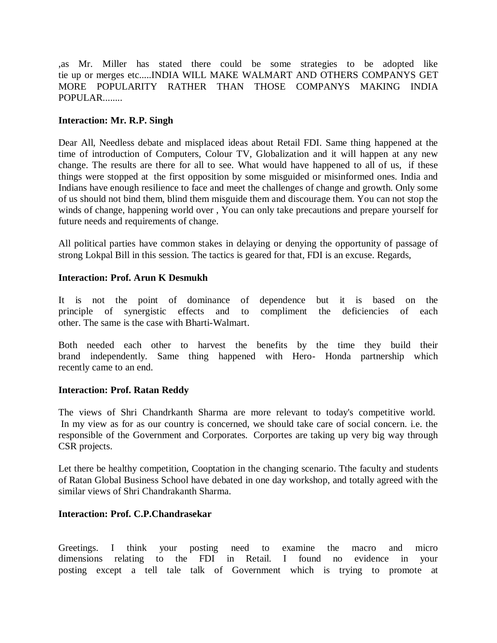,as Mr. Miller has stated there could be some strategies to be adopted like tie up or merges etc.....INDIA WILL MAKE WALMART AND OTHERS COMPANYS GET MORE POPULARITY RATHER THAN THOSE COMPANYS MAKING INDIA POPULAR........

## **Interaction: Mr. R.P. Singh**

Dear All, Needless debate and misplaced ideas about Retail FDI. Same thing happened at the time of introduction of Computers, Colour TV, Globalization and it will happen at any new change. The results are there for all to see. What would have happened to all of us, if these things were stopped at the first opposition by some misguided or misinformed ones. India and Indians have enough resilience to face and meet the challenges of change and growth. Only some of us should not bind them, blind them misguide them and discourage them. You can not stop the winds of change, happening world over , You can only take precautions and prepare yourself for future needs and requirements of change.

All political parties have common stakes in delaying or denying the opportunity of passage of strong Lokpal Bill in this session. The tactics is geared for that, FDI is an excuse. Regards,

### **Interaction: Prof. Arun K Desmukh**

It is not the point of dominance of dependence but it is based on the principle of synergistic effects and to compliment the deficiencies of each principle of synergistic effects and to compliment the deficiencies of each other. The same is the case with Bharti-Walmart.

Both needed each other to harvest the benefits by the time they build their brand independently. Same thing happened with Hero- Honda partnership which recently came to an end.

### **Interaction: Prof. Ratan Reddy**

The views of Shri Chandrkanth Sharma are more relevant to today's competitive world. In my view as for as our country is concerned, we should take care of social concern. i.e. the responsible of the Government and Corporates. Corportes are taking up very big way through CSR projects.

Let there be healthy competition, Cooptation in the changing scenario. Tthe faculty and students of Ratan Global Business School have debated in one day workshop, and totally agreed with the similar views of Shri Chandrakanth Sharma.

## **Interaction: Prof. C.P.Chandrasekar**

Greetings. I think your posting need to examine the macro and micro dimensions relating to the FDI in Retail. I found no evidence in your posting except a tell tale talk of Government which is trying to promote at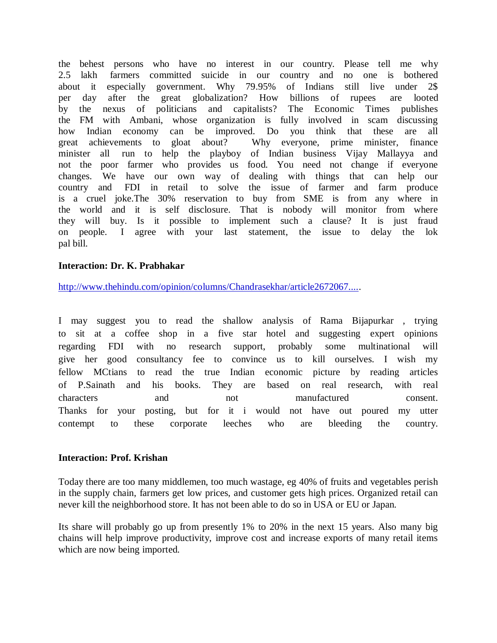the behest persons who have no interest in our country. Please tell me why 2.5 lakh farmers committed suicide in our country and no one is bothered about it especially government. Why 79.95% of Indians still live under 2\$ per day after the great globalization? How billions of rupees are looted by the nexus of politicians and capitalists? The Economic Times publishes the FM with Ambani, whose organization is fully involved in scam discussing how Indian economy can be improved. Do you think that these are all great achievements to gloat about? Why everyone, prime minister, finance minister all run to help the playboy of Indian business Vijay Mallayya and not the poor farmer who provides us food. You need not change if everyone changes. We have our own way of dealing with things that can help our country and FDI in retail to solve the issue of farmer and farm produce is a cruel joke.The 30% reservation to buy from SME is from any where in the world and it is self disclosure. That is nobody will monitor from where they will buy. Is it possible to implement such a clause? It is just fraud on people. I agree with your last statement, the issue to delay the lok pal bill.

### **Interaction: Dr. K. Prabhakar**

http://www.thehindu.com/opinion/columns/Chandrasekhar/article2672067.....

I may suggest you to read the shallow analysis of Rama Bijapurkar , trying to sit at a coffee shop in a five star hotel and suggesting expert opinions regarding FDI with no research support, probably some multinational will give her good consultancy fee to convince us to kill ourselves. I wish my fellow MCtians to read the true Indian economic picture by reading articles of P.Sainath and his books. They are based on real research, with real characters and not manufactured consent. Thanks for your posting, but for it i would not have out poured my utter contempt to these corporate leeches who are bleeding the country.

#### **Interaction: Prof. Krishan**

Today there are too many middlemen, too much wastage, eg 40% of fruits and vegetables perish in the supply chain, farmers get low prices, and customer gets high prices. Organized retail can never kill the neighborhood store. It has not been able to do so in USA or EU or Japan.

Its share will probably go up from presently 1% to 20% in the next 15 years. Also many big chains will help improve productivity, improve cost and increase exports of many retail items which are now being imported.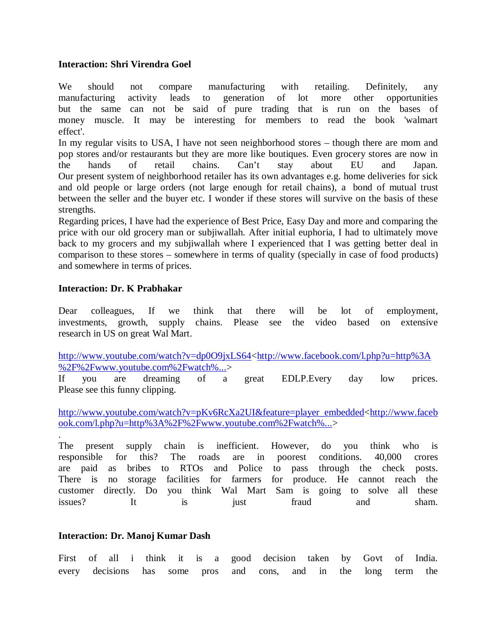## **Interaction: Shri Virendra Goel**

We should not compare manufacturing with retailing. Definitely, any manufacturing activity leads to generation of lot more other opportunities but the same can not be said of pure trading that is run on the bases of money muscle. It may be interesting for members to read the book 'walmart effect'.

In my regular visits to USA, I have not seen neighborhood stores – though there are mom and pop stores and/or restaurants but they are more like boutiques. Even grocery stores are now in the hands of retail chains. Can't stay about EU and Japan. Our present system of neighborhood retailer has its own advantages e.g. home deliveries for sick and old people or large orders (not large enough for retail chains), a bond of mutual trust between the seller and the buyer etc. I wonder if these stores will survive on the basis of these strengths.

Regarding prices, I have had the experience of Best Price, Easy Day and more and comparing the price with our old grocery man or subjiwallah. After initial euphoria, I had to ultimately move back to my grocers and my subjiwallah where I experienced that I was getting better deal in comparison to these stores – somewhere in terms of quality (specially in case of food products) and somewhere in terms of prices.

## **Interaction: Dr. K Prabhakar**

Dear colleagues, If we think that there will be lot of employment, investments, growth, supply chains. Please see the video based on extensive research in US on great Wal Mart.

http://www.youtube.com/watch?v=dp0O9jxLS64<http://www.facebook.com/l.php?u=http%3A %2F%2Fwww.youtube.com%2Fwatch%...>

If you are dreaming of a great EDLP.Every day low prices. Please see this funny clipping.

http://www.youtube.com/watch?v=pKv6RcXa2UI&feature=player\_embedded<http://www.faceb ook.com/l.php?u=http%3A%2F%2Fwww.youtube.com%2Fwatch%...>

. The present supply chain is inefficient. However, do you think who is responsible for this? The roads are in poorest conditions. 40,000 crores are paid as bribes to RTOs and Police to pass through the check posts. There is no storage facilities for farmers for produce. He cannot reach the customer directly. Do you think Wal Mart Sam is going to solve all these issues? It is just fraud and sham.

### **Interaction: Dr. Manoj Kumar Dash**

First of all i think it is a good decision taken by Govt of India. every decisions has some pros and cons, and in the long term the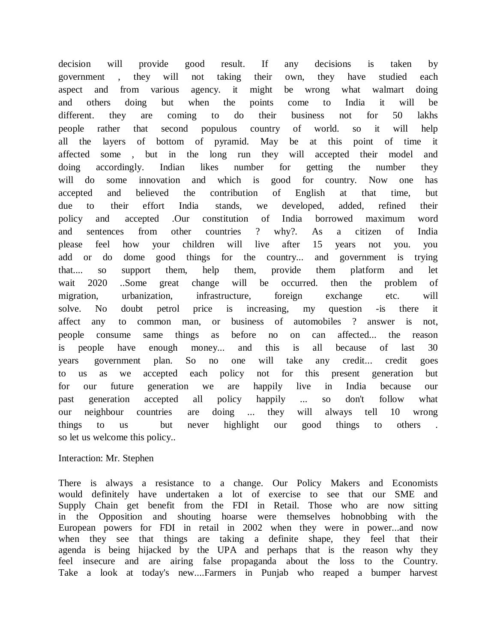decision will provide good result. If any decisions is taken by government , they will not taking their own, they have studied each aspect and from various agency. it might be wrong what walmart doing and others doing but when the points come to India it will be different. they are coming to do their business not for 50 lakhs people rather that second populous country of world. so it will help all the layers of bottom of pyramid. May be at this point of time it affected some , but in the long run they will accepted their model and doing accordingly. Indian likes number for getting the number they will do some innovation and which is good for country. Now one has accepted and believed the contribution of English at that time, but due to their effort India stands, we developed, added, refined their policy and accepted .Our constitution of India borrowed maximum word and sentences from other countries ? why?. As a citizen of India please feel how your children will live after 15 years not you. you add or do dome good things for the country... and government is trying that.... so support them, help them, provide them platform and let wait 2020 ..Some great change will be occurred. then the problem of migration, urbanization, infrastructure, foreign exchange etc. will solve. No doubt petrol price is increasing, my question -is there it affect any to common man, or business of automobiles ? answer is not, people consume same things as before no on can affected... the reason is people have enough money... and this is all because of last 30 years government plan. So no one will take any credit... credit goes to us as we accepted each policy not for this present generation but for our future generation we are happily live in India because our past generation accepted all policy happily ... so don't follow what our neighbour countries are doing ... they will always tell 10 wrong things to us but never highlight our good things to others . so let us welcome this policy..

#### Interaction: Mr. Stephen

There is always a resistance to a change. Our Policy Makers and Economists would definitely have undertaken a lot of exercise to see that our SME and Supply Chain get benefit from the FDI in Retail. Those who are now sitting in the Opposition and shouting hoarse were themselves hobnobbing with the European powers for FDI in retail in 2002 when they were in power...and now when they see that things are taking a definite shape, they feel that their agenda is being hijacked by the UPA and perhaps that is the reason why they feel insecure and are airing false propaganda about the loss to the Country. Take a look at today's new....Farmers in Punjab who reaped a bumper harvest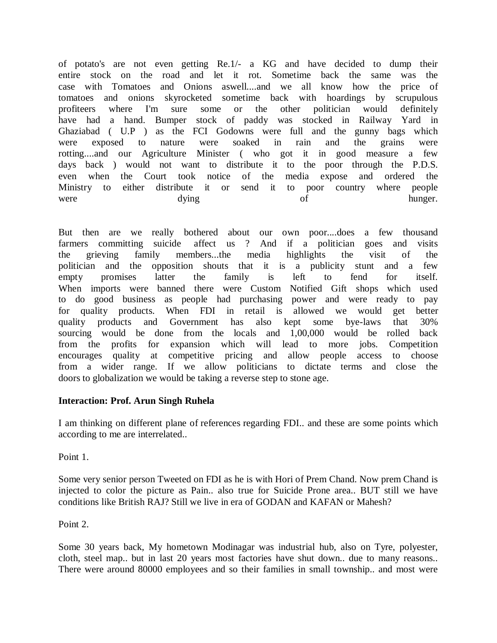of potato's are not even getting Re.1/- a KG and have decided to dump their entire stock on the road and let it rot. Sometime back the same was the case with Tomatoes and Onions aswell....and we all know how the price of tomatoes and onions skyrocketed sometime back with hoardings by scrupulous profiteers where I'm sure some or the other politician would definitely have had a hand. Bumper stock of paddy was stocked in Railway Yard in Ghaziabad ( U.P ) as the FCI Godowns were full and the gunny bags which were exposed to nature were soaked in rain and the grains were rotting....and our Agriculture Minister ( who got it in good measure a few days back ) would not want to distribute it to the poor through the P.D.S. even when the Court took notice of the media expose and ordered the Ministry to either distribute it or send it to poor country where people were dying dying of hunger.

But then are we really bothered about our own poor....does a few thousand farmers committing suicide affect us ? And if a politician goes and visits the grieving family members...the media highlights the visit of the politician and the opposition shouts that it is a publicity stunt and a few empty promises latter the family is left to fend for itself. When imports were banned there were Custom Notified Gift shops which used to do good business as people had purchasing power and were ready to pay for quality products. When FDI in retail is allowed we would get better quality products and Government has also kept some bye-laws that 30% sourcing would be done from the locals and 1,00,000 would be rolled back from the profits for expansion which will lead to more jobs. Competition encourages quality at competitive pricing and allow people access to choose from a wider range. If we allow politicians to dictate terms and close the doors to globalization we would be taking a reverse step to stone age.

# **Interaction: Prof. Arun Singh Ruhela**

I am thinking on different plane of references regarding FDI.. and these are some points which according to me are interrelated..

Point 1.

Some very senior person Tweeted on FDI as he is with Hori of Prem Chand. Now prem Chand is injected to color the picture as Pain.. also true for Suicide Prone area.. BUT still we have conditions like British RAJ? Still we live in era of GODAN and KAFAN or Mahesh?

Point 2.

Some 30 years back, My hometown Modinagar was industrial hub, also on Tyre, polyester, cloth, steel map.. but in last 20 years most factories have shut down.. due to many reasons.. There were around 80000 employees and so their families in small township.. and most were